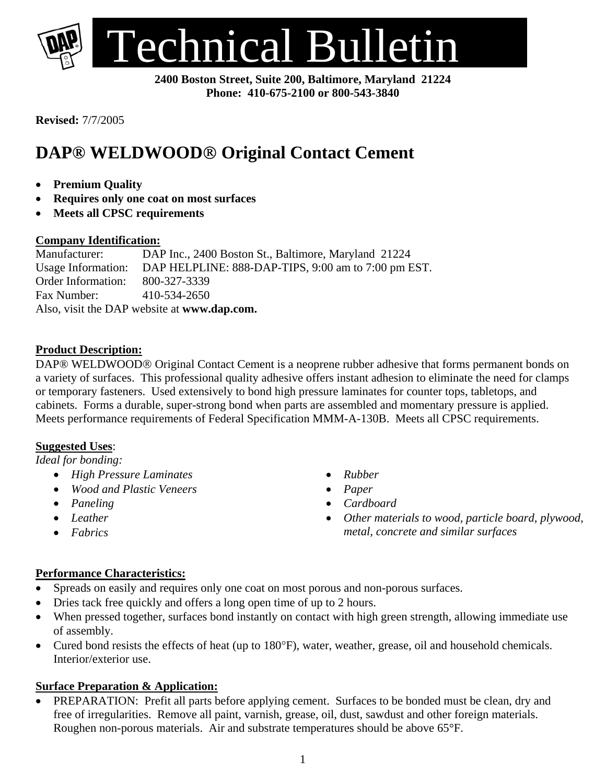

**2400 Boston Street, Suite 200, Baltimore, Maryland 21224 Phone: 410-675-2100 or 800-543-3840** 

**Revised:** 7/7/2005

# **DAP® WELDWOOD**® **Original Contact Cement**

- **Premium Quality**
- **Requires only one coat on most surfaces**
- **Meets all CPSC requirements**

## **Company Identification:**

Manufacturer:DAP Inc., 2400 Boston St., Baltimore, Maryland 21224 Usage Information: DAP HELPLINE: 888-DAP-TIPS, 9:00 am to 7:00 pm EST. Order Information: 800-327-3339 Fax Number: 410-534-2650 Also, visit the DAP website at **www.dap.com.** 

## **Product Description:**

DAP® WELDWOOD® Original Contact Cement is a neoprene rubber adhesive that forms permanent bonds on a variety of surfaces. This professional quality adhesive offers instant adhesion to eliminate the need for clamps or temporary fasteners. Used extensively to bond high pressure laminates for counter tops, tabletops, and cabinets. Forms a durable, super-strong bond when parts are assembled and momentary pressure is applied. Meets performance requirements of Federal Specification MMM-A-130B. Meets all CPSC requirements.

## **Suggested Uses**:

*Ideal for bonding:* 

- *High Pressure Laminates*
- *Wood and Plastic Veneers*
- *Paneling*
- *Leather*
- *Fabrics*
- *Rubber*
- *Paper*
- *Cardboard*
- *Other materials to wood, particle board, plywood, metal, concrete and similar surfaces*

## **Performance Characteristics:**

- Spreads on easily and requires only one coat on most porous and non-porous surfaces.
- Dries tack free quickly and offers a long open time of up to 2 hours.
- When pressed together, surfaces bond instantly on contact with high green strength, allowing immediate use of assembly.
- Cured bond resists the effects of heat (up to 180°F), water, weather, grease, oil and household chemicals. Interior/exterior use.

## **Surface Preparation & Application:**

PREPARATION: Prefit all parts before applying cement. Surfaces to be bonded must be clean, dry and free of irregularities. Remove all paint, varnish, grease, oil, dust, sawdust and other foreign materials. Roughen non-porous materials. Air and substrate temperatures should be above 65°F.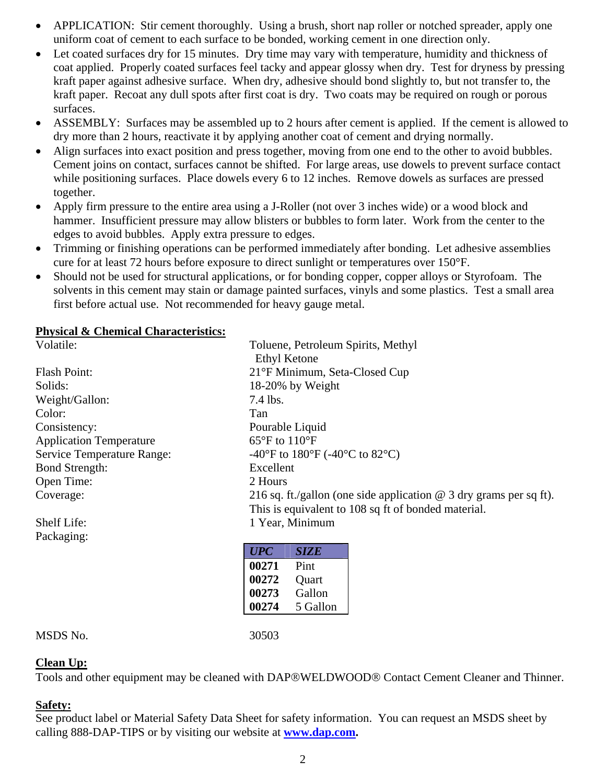- APPLICATION: Stir cement thoroughly. Using a brush, short nap roller or notched spreader, apply one uniform coat of cement to each surface to be bonded, working cement in one direction only.
- Let coated surfaces dry for 15 minutes. Dry time may vary with temperature, humidity and thickness of coat applied. Properly coated surfaces feel tacky and appear glossy when dry. Test for dryness by pressing kraft paper against adhesive surface. When dry, adhesive should bond slightly to, but not transfer to, the kraft paper. Recoat any dull spots after first coat is dry. Two coats may be required on rough or porous surfaces.
- ASSEMBLY: Surfaces may be assembled up to 2 hours after cement is applied. If the cement is allowed to dry more than 2 hours, reactivate it by applying another coat of cement and drying normally.
- Align surfaces into exact position and press together, moving from one end to the other to avoid bubbles. Cement joins on contact, surfaces cannot be shifted. For large areas, use dowels to prevent surface contact while positioning surfaces. Place dowels every 6 to 12 inches. Remove dowels as surfaces are pressed together.
- Apply firm pressure to the entire area using a J-Roller (not over 3 inches wide) or a wood block and hammer. Insufficient pressure may allow blisters or bubbles to form later. Work from the center to the edges to avoid bubbles. Apply extra pressure to edges.
- Trimming or finishing operations can be performed immediately after bonding. Let adhesive assemblies cure for at least 72 hours before exposure to direct sunlight or temperatures over 150°F.
- Should not be used for structural applications, or for bonding copper, copper alloys or Styrofoam. The solvents in this cement may stain or damage painted surfaces, vinyls and some plastics. Test a small area first before actual use. Not recommended for heavy gauge metal.

## **Physical & Chemical Characteristics:**

| Volatile:                      | Toluene, Petroleum Spirits, Methyl                                   |
|--------------------------------|----------------------------------------------------------------------|
|                                | <b>Ethyl Ketone</b>                                                  |
| Flash Point:                   | 21°F Minimum, Seta-Closed Cup                                        |
| Solids:                        | 18-20% by Weight                                                     |
| Weight/Gallon:                 | 7.4 lbs.                                                             |
| Color:                         | Tan                                                                  |
| Consistency:                   | Pourable Liquid                                                      |
| <b>Application Temperature</b> | $65^{\circ}$ F to $110^{\circ}$ F                                    |
| Service Temperature Range:     | -40°F to 180°F (-40°C to 82°C)                                       |
| <b>Bond Strength:</b>          | Excellent                                                            |
| Open Time:                     | 2 Hours                                                              |
| Coverage:                      | 216 sq. ft./gallon (one side application $@$ 3 dry grams per sq ft). |
|                                | This is equivalent to 108 sq ft of bonded material.                  |
| Shelf Life:                    | 1 Year, Minimum                                                      |
| Packaging:                     |                                                                      |
|                                | $\overline{UPC}$<br><b>SIZE</b>                                      |
|                                | 00271<br>Pint                                                        |

MSDS No. 30503

**00272** Ouart **00273** Gallon **00274** 5 Gallon

## **Clean Up:**

Tools and other equipment may be cleaned with DAP®WELDWOOD® Contact Cement Cleaner and Thinner.

## **Safety:**

See product label or Material Safety Data Sheet for safety information. You can request an MSDS sheet by calling 888-DAP-TIPS or by visiting our website at **[www.dap.com](http://www.dap.com/).**